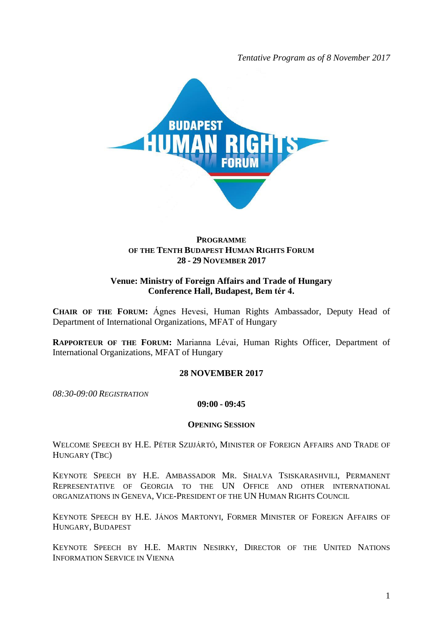

## **PROGRAMME OF THE TENTH BUDAPEST HUMAN RIGHTS FORUM 28 - 29 NOVEMBER 2017**

### **Venue: Ministry of Foreign Affairs and Trade of Hungary Conference Hall, Budapest, Bem tér 4.**

**CHAIR OF THE FORUM:** Ágnes Hevesi, Human Rights Ambassador, Deputy Head of Department of International Organizations, MFAT of Hungary

**RAPPORTEUR OF THE FORUM:** Marianna Lévai, Human Rights Officer, Department of International Organizations, MFAT of Hungary

## **28 NOVEMBER 2017**

*08:30-09:00 REGISTRATION*

## **09:00 - 09:45**

#### **OPENING SESSION**

WELCOME SPEECH BY H.E. PÉTER SZIJJÁRTÓ, MINISTER OF FOREIGN AFFAIRS AND TRADE OF HUNGARY (TBC)

KEYNOTE SPEECH BY H.E. AMBASSADOR MR. SHALVA TSISKARASHVILI, PERMANENT REPRESENTATIVE OF GEORGIA TO THE UN OFFICE AND OTHER INTERNATIONAL ORGANIZATIONS IN GENEVA, VICE-PRESIDENT OF THE UN HUMAN RIGHTS COUNCIL

KEYNOTE SPEECH BY H.E. JÁNOS MARTONYI, FORMER MINISTER OF FOREIGN AFFAIRS OF HUNGARY, BUDAPEST

KEYNOTE SPEECH BY H.E. MARTIN NESIRKY, DIRECTOR OF THE UNITED NATIONS INFORMATION SERVICE IN VIENNA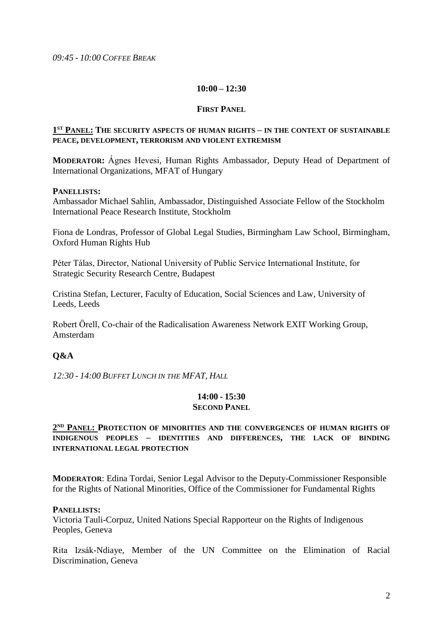### **10:00 – 12:30**

### **FIRST PANEL**

### **1 ST PANEL: THE SECURITY ASPECTS OF HUMAN RIGHTS – IN THE CONTEXT OF SUSTAINABLE PEACE, DEVELOPMENT, TERRORISM AND VIOLENT EXTREMISM**

**MODERATOR:** Ágnes Hevesi, Human Rights Ambassador, Deputy Head of Department of International Organizations, MFAT of Hungary

### **PANELLISTS:**

Ambassador Michael Sahlin, Ambassador, Distinguished Associate Fellow of the Stockholm International Peace Research Institute, Stockholm

Fiona de Londras, Professor of Global Legal Studies, Birmingham Law School, Birmingham, Oxford Human Rights Hub

Péter Tálas, Director, National University of Public Service International Institute, for Strategic Security Research Centre, Budapest

Cristina Stefan, Lecturer, Faculty of Education, Social Sciences and Law, University of Leeds, Leeds

Robert Örell, Co-chair of the Radicalisation Awareness Network EXIT Working Group, Amsterdam

## **Q&A**

*12:30 - 14:00 BUFFET LUNCH IN THE MFAT, HALL*

#### **14:00 - 15:30 SECOND PANEL**

### **2 ND PANEL: PROTECTION OF MINORITIES AND THE CONVERGENCES OF HUMAN RIGHTS OF INDIGENOUS PEOPLES – IDENTITIES AND DIFFERENCES, THE LACK OF BINDING INTERNATIONAL LEGAL PROTECTION**

**MODERATOR**: Edina Tordai, Senior Legal Advisor to the Deputy-Commissioner Responsible for the Rights of National Minorities, Office of the Commissioner for Fundamental Rights

### **PANELLISTS:**

[Victoria Tauli-Corpuz,](http://www.ohchr.org/EN/Issues/IPeoples/SRIndigenousPeoples/Pages/VictoriaTauliCorpuz.aspx) United Nations Special Rapporteur on the Rights of Indigenous Peoples, Geneva

Rita Izsák-Ndiaye, Member of the UN Committee on the Elimination of Racial Discrimination, Geneva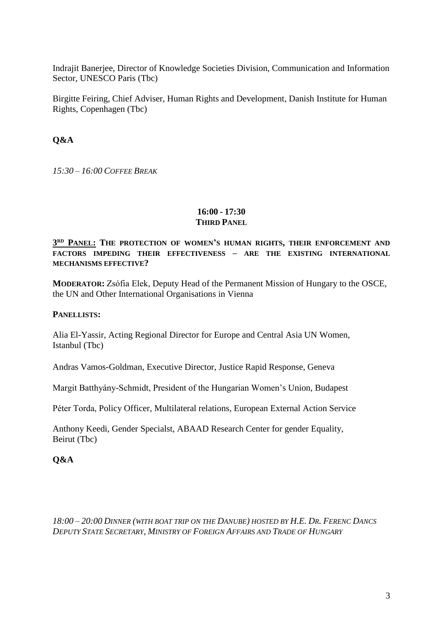Indrajit Banerjee, Director of Knowledge Societies Division, Communication and Information Sector, UNESCO Paris (Tbc)

Birgitte Feiring, Chief Adviser, Human Rights and Development, Danish Institute for Human Rights, Copenhagen (Tbc)

# **Q&A**

*15:30 – 16:00 COFFEE BREAK*

### **16:00 - 17:30 THIRD PANEL**

**3 RD PANEL: THE PROTECTION OF WOMEN'S HUMAN RIGHTS, THEIR ENFORCEMENT AND FACTORS IMPEDING THEIR EFFECTIVENESS – ARE THE EXISTING INTERNATIONAL MECHANISMS EFFECTIVE?**

**MODERATOR:** Zsófia Elek, Deputy Head of the Permanent Mission of Hungary to the OSCE, the UN and Other International Organisations in Vienna

### **PANELLISTS:**

Alia El-Yassir, Acting Regional Director for Europe and Central Asia UN Women, Istanbul (Tbc)

Andras Vamos-Goldman, Executive Director, Justice Rapid Response, Geneva

Margit Batthyány-Schmidt, President of the Hungarian Women's Union, Budapest

Péter Torda, Policy Officer, Multilateral relations, European External Action Service

Anthony Keedi, Gender Specialst, ABAAD Research Center for gender Equality, Beirut (Tbc)

## **Q&A**

*18:00 – 20:00 DINNER (WITH BOAT TRIP ON THE DANUBE) HOSTED BY H.E. DR. FERENC DANCS DEPUTY STATE SECRETARY, MINISTRY OF FOREIGN AFFAIRS AND TRADE OF HUNGARY*